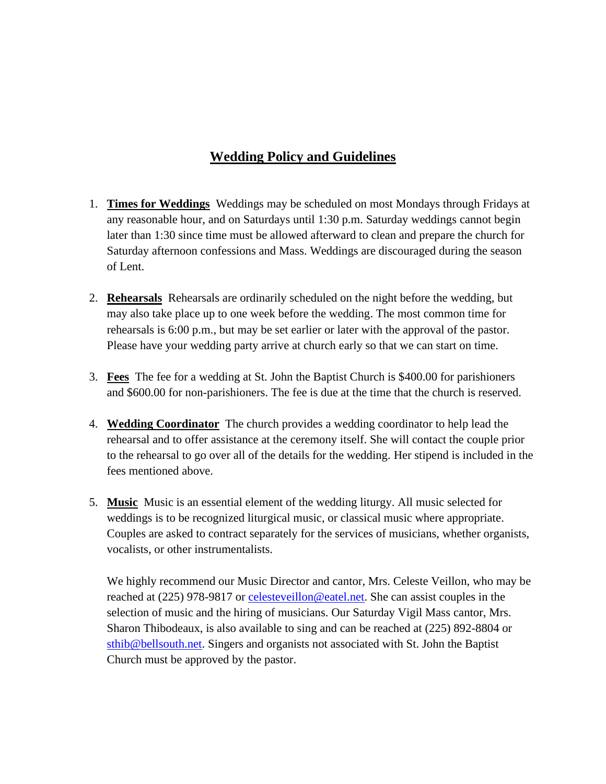## **Wedding Policy and Guidelines**

- 1. **Times for Weddings** Weddings may be scheduled on most Mondays through Fridays at any reasonable hour, and on Saturdays until 1:30 p.m. Saturday weddings cannot begin later than 1:30 since time must be allowed afterward to clean and prepare the church for Saturday afternoon confessions and Mass. Weddings are discouraged during the season of Lent.
- 2. **Rehearsals** Rehearsals are ordinarily scheduled on the night before the wedding, but may also take place up to one week before the wedding. The most common time for rehearsals is 6:00 p.m., but may be set earlier or later with the approval of the pastor. Please have your wedding party arrive at church early so that we can start on time.
- 3. **Fees** The fee for a wedding at St. John the Baptist Church is \$400.00 for parishioners and \$600.00 for non-parishioners. The fee is due at the time that the church is reserved.
- 4. **Wedding Coordinator** The church provides a wedding coordinator to help lead the rehearsal and to offer assistance at the ceremony itself. She will contact the couple prior to the rehearsal to go over all of the details for the wedding. Her stipend is included in the fees mentioned above.
- 5. **Music** Music is an essential element of the wedding liturgy. All music selected for weddings is to be recognized liturgical music, or classical music where appropriate. Couples are asked to contract separately for the services of musicians, whether organists, vocalists, or other instrumentalists.

We highly recommend our Music Director and cantor, Mrs. Celeste Veillon, who may be reached at (225) 978-9817 or [celesteveillon@eatel.net.](mailto:celesteveillon@eatel.net) She can assist couples in the selection of music and the hiring of musicians. Our Saturday Vigil Mass cantor, Mrs. Sharon Thibodeaux, is also available to sing and can be reached at (225) 892-8804 or [sthib@bellsouth.net.](mailto:sthib@bellsouth.net) Singers and organists not associated with St. John the Baptist Church must be approved by the pastor.